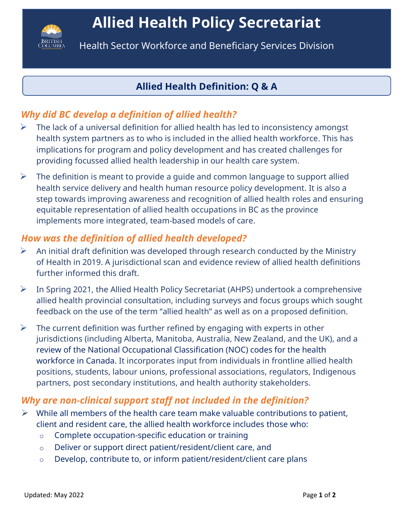

Health Sector Workforce and Beneficiary Services Division

## **Allied Health Definition: Q & A**

# *Why did BC develop a definition of allied health?*

- $\triangleright$  The lack of a universal definition for allied health has led to inconsistency amongst health system partners as to who is included in the allied health workforce. This has implications for program and policy development and has created challenges for providing focussed allied health leadership in our health care system.
- $\triangleright$  The definition is meant to provide a guide and common language to support allied health service delivery and health human resource policy development. It is also a step towards improving awareness and recognition of allied health roles and ensuring equitable representation of allied health occupations in BC as the province implements more integrated, team-based models of care.

## *How was the definition of allied health developed?*

- $\triangleright$  An initial draft definition was developed through research conducted by the Ministry of Health in 2019. A jurisdictional scan and evidence review of allied health definitions further informed this draft.
- $\triangleright$  In Spring 2021, the Allied Health Policy Secretariat (AHPS) undertook a comprehensive allied health provincial consultation, including surveys and focus groups which sought feedback on the use of the term "allied health" as well as on a proposed definition.
- $\triangleright$  The current definition was further refined by engaging with experts in other jurisdictions (including Alberta, Manitoba, Australia, New Zealand, and the UK), and a review of the National Occupational Classification (NOC) codes for the health workforce in Canada. It incorporates input from individuals in frontline allied health positions, students, labour unions, professional associations, regulators, Indigenous partners, post secondary institutions, and health authority stakeholders.

#### *Why are non-clinical support staff not included in the definition?*

- $\triangleright$  While all members of the health care team make valuable contributions to patient, client and resident care, the allied health workforce includes those who:
	- o Complete occupation-specific education or training
	- o Deliver or support direct patient/resident/client care, and
	- o Develop, contribute to, or inform patient/resident/client care plans